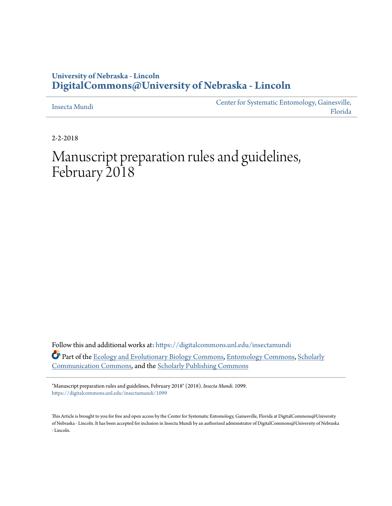# **University of Nebraska - Lincoln [DigitalCommons@University of Nebraska - Lincoln](https://digitalcommons.unl.edu?utm_source=digitalcommons.unl.edu%2Finsectamundi%2F1099&utm_medium=PDF&utm_campaign=PDFCoverPages)**

[Insecta Mundi](https://digitalcommons.unl.edu/insectamundi?utm_source=digitalcommons.unl.edu%2Finsectamundi%2F1099&utm_medium=PDF&utm_campaign=PDFCoverPages)

[Center for Systematic Entomology, Gainesville,](https://digitalcommons.unl.edu/centersystematicentomology?utm_source=digitalcommons.unl.edu%2Finsectamundi%2F1099&utm_medium=PDF&utm_campaign=PDFCoverPages) [Florida](https://digitalcommons.unl.edu/centersystematicentomology?utm_source=digitalcommons.unl.edu%2Finsectamundi%2F1099&utm_medium=PDF&utm_campaign=PDFCoverPages)

2-2-2018

# Manuscript preparation rules and guidelines, February 2018

Follow this and additional works at: [https://digitalcommons.unl.edu/insectamundi](https://digitalcommons.unl.edu/insectamundi?utm_source=digitalcommons.unl.edu%2Finsectamundi%2F1099&utm_medium=PDF&utm_campaign=PDFCoverPages) Part of the [Ecology and Evolutionary Biology Commons](http://network.bepress.com/hgg/discipline/14?utm_source=digitalcommons.unl.edu%2Finsectamundi%2F1099&utm_medium=PDF&utm_campaign=PDFCoverPages), [Entomology Commons](http://network.bepress.com/hgg/discipline/83?utm_source=digitalcommons.unl.edu%2Finsectamundi%2F1099&utm_medium=PDF&utm_campaign=PDFCoverPages), [Scholarly](http://network.bepress.com/hgg/discipline/1272?utm_source=digitalcommons.unl.edu%2Finsectamundi%2F1099&utm_medium=PDF&utm_campaign=PDFCoverPages) [Communication Commons,](http://network.bepress.com/hgg/discipline/1272?utm_source=digitalcommons.unl.edu%2Finsectamundi%2F1099&utm_medium=PDF&utm_campaign=PDFCoverPages) and the [Scholarly Publishing Commons](http://network.bepress.com/hgg/discipline/1273?utm_source=digitalcommons.unl.edu%2Finsectamundi%2F1099&utm_medium=PDF&utm_campaign=PDFCoverPages)

"Manuscript preparation rules and guidelines, February 2018" (2018). *Insecta Mundi*. 1099. [https://digitalcommons.unl.edu/insectamundi/1099](https://digitalcommons.unl.edu/insectamundi/1099?utm_source=digitalcommons.unl.edu%2Finsectamundi%2F1099&utm_medium=PDF&utm_campaign=PDFCoverPages)

This Article is brought to you for free and open access by the Center for Systematic Entomology, Gainesville, Florida at DigitalCommons@University of Nebraska - Lincoln. It has been accepted for inclusion in Insecta Mundi by an authorized administrator of DigitalCommons@University of Nebraska - Lincoln.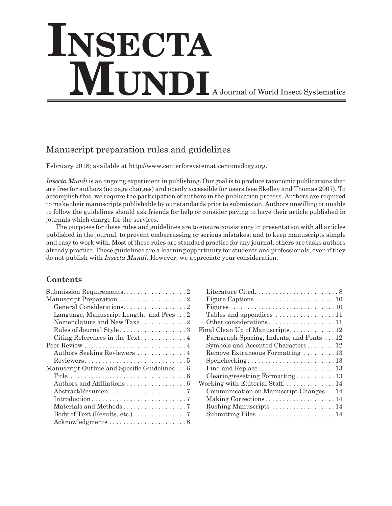# **Insecta MUNDI** A Journal of World Insect Systematics

# Manuscript preparation rules and guidelines

February 2018; available at http://www.centerforsystematicentomology.org.

*Insecta Mundi* is an ongoing experiment in publishing. Our goal is to produce taxonomic publications that are free for authors (no page charges) and openly accessible for users (see Skelley and Thomas 2007). To accomplish this, we require the participation of authors in the publication process. Authors are required to make their manuscripts publishable by our standards prior to submission. Authors unwilling or unable to follow the guidelines should ask friends for help or consider paying to have their article published in journals which charge for the services.

The purposes for these rules and guidelines are to ensure consistency in presentation with all articles published in the journal, to prevent embarrassing or serious mistakes; and to keep manuscripts simple and easy to work with. Most of these rules are standard practice for any journal, others are tasks authors already practice. These guidelines are a learning opportunity for students and professionals, even if they do not publish with *Insecta Mundi*. However, we appreciate your consideration.

# **Contents**

| Submission Requirements. 2                   |
|----------------------------------------------|
| Manuscript Preparation 2                     |
| General Considerations2                      |
| Language, Manuscript Length, and Fees2       |
| Nomenclature and New Taxa2                   |
| Rules of Journal Style3                      |
| Citing References in the Text4               |
|                                              |
|                                              |
|                                              |
| Manuscript Outline and Specific Guidelines 6 |
|                                              |
|                                              |
|                                              |
|                                              |
|                                              |
| Body of Text (Results, etc.) 7               |
|                                              |

| Figures $\ldots \ldots \ldots \ldots \ldots \ldots \ldots \ldots \ldots 10$ |
|-----------------------------------------------------------------------------|
| Tables and appendices 11                                                    |
| Other considerations11                                                      |
| Final Clean Up of Manuscripts 12                                            |
| Paragraph Spacing, Indents, and Fonts 12                                    |
| Symbols and Accented Characters 12                                          |
| Remove Extraneous Formatting  13                                            |
|                                                                             |
|                                                                             |
| Clearing/resetting Formatting $\ldots \ldots \ldots 13$                     |
| Working with Editorial Staff 14                                             |
| Communication on Manuscript Changes14                                       |
| Making Corrections14                                                        |
| Rushing Manuscripts  14                                                     |
| Submitting Files  14                                                        |
|                                                                             |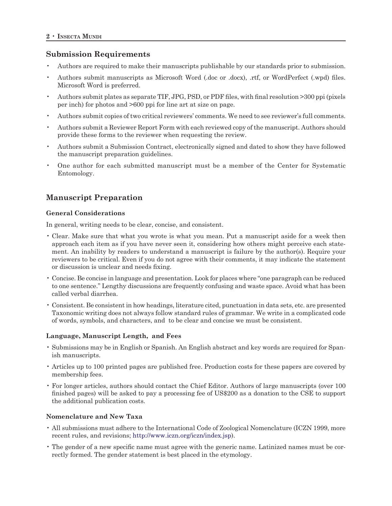# **Submission Requirements**

- Authors are required to make their manuscripts publishable by our standards prior to submission.
- Authors submit manuscripts as Microsoft Word (.doc or .docx), .rtf, or WordPerfect (.wpd) files. Microsoft Word is preferred.
- Authors submit plates as separate TIF, JPG, PSD, or PDF files, with final resolution >300 ppi (pixels per inch) for photos and >600 ppi for line art at size on page.
- Authors submit copies of two critical reviewers' comments. We need to see reviewer's full comments.
- Authors submit a Reviewer Report Form with each reviewed copy of the manuscript. Authors should provide these forms to the reviewer when requesting the review.
- Authors submit a Submission Contract, electronically signed and dated to show they have followed the manuscript preparation guidelines.
- One author for each submitted manuscript must be a member of the Center for Systematic Entomology.

# **Manuscript Preparation**

# **General Considerations**

In general, writing needs to be clear, concise, and consistent.

- Clear. Make sure that what you wrote is what you mean. Put a manuscript aside for a week then approach each item as if you have never seen it, considering how others might perceive each statement. An inability by readers to understand a manuscript is failure by the author(s). Require your reviewers to be critical. Even if you do not agree with their comments, it may indicate the statement or discussion is unclear and needs fixing.
- Concise. Be concise in language and presentation. Look for places where "one paragraph can be reduced to one sentence." Lengthy discussions are frequently confusing and waste space. Avoid what has been called verbal diarrhea.
- Consistent. Be consistent in how headings, literature cited, punctuation in data sets, etc. are presented Taxonomic writing does not always follow standard rules of grammar. We write in a complicated code of words, symbols, and characters, and to be clear and concise we must be consistent.

# **Language, Manuscript Length, and Fees**

- Submissions may be in English or Spanish. An English abstract and key words are required for Spanish manuscripts.
- Articles up to 100 printed pages are published free. Production costs for these papers are covered by membership fees.
- For longer articles, authors should contact the Chief Editor. Authors of large manuscripts (over 100 finished pages) will be asked to pay a processing fee of US\$200 as a donation to the CSE to support the additional publication costs.

# **Nomenclature and New Taxa**

- All submissions must adhere to the International Code of Zoological Nomenclature (ICZN 1999, more recent rules, and revisions; http://www.iczn.org/iczn/index.jsp).
- The gender of a new specific name must agree with the generic name. Latinized names must be correctly formed. The gender statement is best placed in the etymology.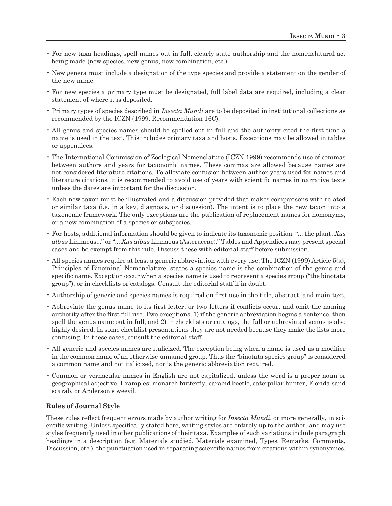- For new taxa headings, spell names out in full, clearly state authorship and the nomenclatural act being made (new species, new genus, new combination, etc.).
- New genera must include a designation of the type species and provide a statement on the gender of the new name.
- For new species a primary type must be designated, full label data are required, including a clear statement of where it is deposited.
- Primary types of species described in *Insecta Mundi* are to be deposited in institutional collections as recommended by the ICZN (1999, Recommendation 16C).
- All genus and species names should be spelled out in full and the authority cited the first time a name is used in the text. This includes primary taxa and hosts. Exceptions may be allowed in tables or appendices.
- The International Commission of Zoological Nomenclature (ICZN 1999) recommends use of commas between authors and years for taxonomic names. These commas are allowed because names are not considered literature citations. To alleviate confusion between author-years used for names and literature citations, it is recommended to avoid use of years with scientific names in narrative texts unless the dates are important for the discussion.
- Each new taxon must be illustrated and a discussion provided that makes comparisons with related or similar taxa (i.e. in a key, diagnosis, or discussion). The intent is to place the new taxon into a taxonomic framework. The only exceptions are the publication of replacement names for homonyms, or a new combination of a species or subspecies.
- For hosts, additional information should be given to indicate its taxonomic position: "... the plant, *Xus albus* Linnaeus..." or "... *Xus albus* Linnaeus (Asteraceae)." Tables and Appendices may present special cases and be exempt from this rule. Discuss these with editorial staff before submission.
- All species names require at least a generic abbreviation with every use. The ICZN (1999) Article 5(a), Principles of Binominal Nomenclature, states a species name is the combination of the genus and specific name. Exception occur when a species name is used to represent a species group ("the binotata group"), or in checklists or catalogs. Consult the editorial staff if in doubt.
- Authorship of generic and species names is required on first use in the title, abstract, and main text.
- Abbreviate the genus name to its first letter, or two letters if conflicts occur, and omit the naming authority after the first full use. Two exceptions: 1) if the generic abbreviation begins a sentence, then spell the genus name out in full; and 2) in checklists or catalogs, the full or abbreviated genus is also highly desired. In some checklist presentations they are not needed because they make the lists more confusing. In these cases, consult the editorial staff.
- All generic and species names are italicized. The exception being when a name is used as a modifier in the common name of an otherwise unnamed group. Thus the "binotata species group" is considered a common name and not italicized, nor is the generic abbreviation required.
- Common or vernacular names in English are not capitalized, unless the word is a proper noun or geographical adjective. Examples: monarch butterfly, carabid beetle, caterpillar hunter, Florida sand scarab, or Anderson's weevil.

# **Rules of Journal Style**

These rules reflect frequent errors made by author writing for *Insecta Mundi*, or more generally, in scientific writing. Unless specifically stated here, writing styles are entirely up to the author, and may use styles frequently used in other publications of their taxa. Examples of such variations include paragraph headings in a description (e.g. Materials studied, Materials examined, Types, Remarks, Comments, Discussion, etc.), the punctuation used in separating scientific names from citations within synonymies,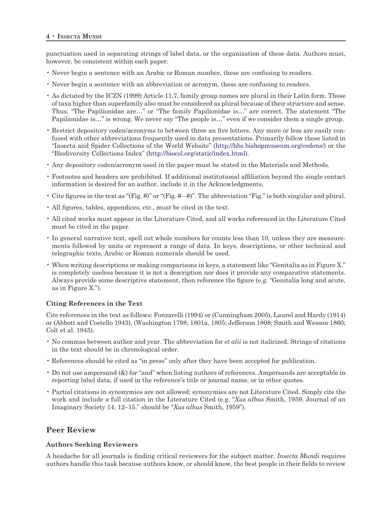punctuation used in separating strings of label data, or the organization of these data. Authors must, however, be consistent within each paper.

- Never begin a sentence with an Arabic or Roman number, these are confusing to readers.
- Never begin a sentence with an abbreviation or acronym, these are confusing to readers.
- As dictated by the ICZN (1999) Article 11.7, family group names are plural in their Latin form. Those of taxa higher than superfamily also must be considered as plural because of their structure and sense. Thus, "The Papilionidae are…" or "The family Papilionidae is…" are correct. The statement "The Papilionidae is…" is wrong. We never say "The people is…" even if we consider them a single group.
- Restrict depository coden/acronyms to between three an five letters. Any more or less are easily confused with other abbreviations frequently used in data presentations. Primarily follow those listed in "Insecta and Spider Collections of the World Website" (http://hbs.bishopmuseum.org/codens/) or the "Biodiversity Collections Index" (http://biocol.org/static/index.html).
- Any depository coden/acronym used in the paper must be stated in the Materials and Methods.
- Footnotes and headers are prohibited. If additional institutional affiliation beyond the single contact information is desired for an author, include it in the Acknowledgments.
- Cite figures in the text as "(Fig. #)" or "(Fig. #–#)". The abbreviation "Fig." is both singular and plural.
- All figures, tables, appendices, etc., must be cited in the text.
- All cited works must appear in the Literature Cited, and all works referenced in the Literature Cited must be cited in the paper.
- In general narrative text, spell out whole numbers for counts less than 10, unless they are measurements followed by units or represent a range of data. In keys, descriptions, or other technical and telegraphic texts, Arabic or Roman numerals should be used.
- When writing descriptions or making comparisons in keys, a statement like "Genitalia as in Figure X." is completely useless because it is not a description nor does it provide any comparative statements. Always provide some descriptive statement, then reference the figure (e.g. "Genitalia long and acute, as in Figure X.").

# **Citing References in the Text**

Cite references in the text as follows: Fonzarelli (1994) or (Cunningham 2005), Laurel and Hardy (1914) or (Abbott and Costello 1943), (Washington 1798, 1801a, 1805; Jefferson 1808; Smith and Wesson 1860; Colt et al. 1945).

- No commas between author and year. The abbreviation for *et alii* is not italicized. Strings of citations in the text should be in chronological order.
- References should be cited as "in press" only after they have been accepted for publication.
- Do not use ampersand (&) for "and" when listing authors of references. Ampersands are acceptable in reporting label data, if used in the reference's title or journal name, or in other quotes.
- Partial citations in synonymies are not allowed; synonymies are not Literature Cited. Simply cite the work and include a full citation in the Literature Cited (e.g. "*Xus albus* Smith, 1959. Journal of an Imaginary Society 14: 12–15." should be "*Xus albus* Smith, 1959").

# **Peer Review**

# **Authors Seeking Reviewers**

A headache for all journals is finding critical reviewers for the subject matter. *Insecta Mundi* requires authors handle this task because authors know, or should know, the best people in their fields to review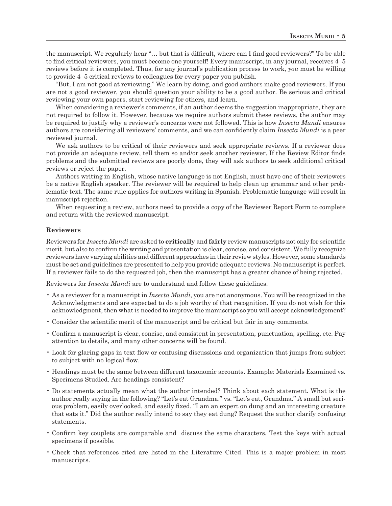the manuscript. We regularly hear "… but that is difficult, where can I find good reviewers?" To be able to find critical reviewers, you must become one yourself! Every manuscript, in any journal, receives 4–5 reviews before it is completed. Thus, for any journal's publication process to work, *you* must be willing to provide 4–5 critical reviews to colleagues for every paper you publish.

"But, I am not good at reviewing." We learn by doing, and good authors make good reviewers. If you are not a good reviewer, you should question your ability to be a good author. Be serious and critical reviewing your own papers, start reviewing for others, and learn.

When considering a reviewer's comments, if an author deems the suggestion inappropriate, they are not required to follow it. However, because we require authors submit these reviews, the author may be required to justify why a reviewer's concerns were not followed. This is how *Insecta Mundi* ensures authors are considering all reviewers' comments, and we can confidently claim *Insecta Mundi* is a peer reviewed journal.

We ask authors to be critical of their reviewers and seek appropriate reviews. If a reviewer does not provide an adequate review, tell them so and/or seek another reviewer. If the Review Editor finds problems and the submitted reviews are poorly done, they will ask authors to seek additional critical reviews or reject the paper.

Authors writing in English, whose native language is not English, must have one of their reviewers be a native English speaker. The reviewer will be required to help clean up grammar and other problematic text. The same rule applies for authors writing in Spanish. Problematic language will result in manuscript rejection.

When requesting a review, authors need to provide a copy of the Reviewer Report Form to complete and return with the reviewed manuscript.

#### **Reviewers**

Reviewers for *Insecta Mundi* are asked to **critically** and **fairly** review manuscripts not only for scientific merit, but also to confirm the writing and presentation is clear, concise, and consistent. We fully recognize reviewers have varying abilities and different approaches in their review styles. However, some standards must be set and guidelines are presented to help you provide adequate reviews. No manuscript is perfect. If a reviewer fails to do the requested job, then the manuscript has a greater chance of being rejected.

Reviewers for *Insecta Mundi* are to understand and follow these guidelines.

- As a reviewer for a manuscript in *Insecta Mundi*, you are not anonymous. You will be recognized in the Acknowledgments and are expected to do a job worthy of that recognition. If you do not wish for this acknowledgment, then what is needed to improve the manuscript so you will accept acknowledgement?
- Consider the scientific merit of the manuscript and be critical but fair in any comments.
- Confirm a manuscript is clear, concise, and consistent in presentation, punctuation, spelling, etc. Pay attention to details, and many other concerns will be found.
- Look for glaring gaps in text flow or confusing discussions and organization that jumps from subject to subject with no logical flow.
- Headings must be the same between different taxonomic accounts. Example: Materials Examined vs. Specimens Studied. Are headings consistent?
- Do statements actually mean what the author intended? Think about each statement. What is the author really saying in the following? "Let's eat Grandma." vs. "Let's eat, Grandma." A small but serious problem, easily overlooked, and easily fixed. "I am an expert on dung and an interesting creature that eats it." Did the author really intend to say they eat dung? Request the author clarify confusing statements.
- Confirm key couplets are comparable and discuss the same characters. Test the keys with actual specimens if possible.
- Check that references cited are listed in the Literature Cited. This is a major problem in most manuscripts.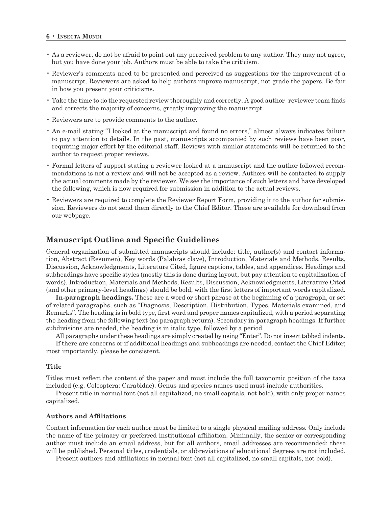- As a reviewer, do not be afraid to point out any perceived problem to any author. They may not agree, but you have done your job. Authors must be able to take the criticism.
- Reviewer's comments need to be presented and perceived as suggestions for the improvement of a manuscript. Reviewers are asked to help authors improve manuscript, not grade the papers. Be fair in how you present your criticisms.
- Take the time to do the requested review thoroughly and correctly. A good author–reviewer team finds and corrects the majority of concerns, greatly improving the manuscript.
- Reviewers are to provide comments to the author.
- An e-mail stating "I looked at the manuscript and found no errors," almost always indicates failure to pay attention to details. In the past, manuscripts accompanied by such reviews have been poor, requiring major effort by the editorial staff. Reviews with similar statements will be returned to the author to request proper reviews.
- Formal letters of support stating a reviewer looked at a manuscript and the author followed recommendations is not a review and will not be accepted as a review. Authors will be contacted to supply the actual comments made by the reviewer. We see the importance of such letters and have developed the following, which is now required for submission in addition to the actual reviews.
- Reviewers are required to complete the Reviewer Report Form, providing it to the author for submission. Reviewers do not send them directly to the Chief Editor. These are available for download from our webpage.

# **Manuscript Outline and Specific Guidelines**

General organization of submitted manuscripts should include: title, author(s) and contact information, Abstract (Resumen), Key words (Palabras clave), Introduction, Materials and Methods, Results, Discussion, Acknowledgments, Literature Cited, figure captions, tables, and appendices. Headings and subheadings have specific styles (mostly this is done during layout, but pay attention to capitalization of words). Introduction, Materials and Methods, Results, Discussion, Acknowledgments, Literature Cited (and other primary-level headings) should be bold, with the first letters of important words capitalized.

**In-paragraph headings.** These are a word or short phrase at the beginning of a paragraph, or set of related paragraphs, such as "Diagnosis, Description, Distribution, Types, Materials examined, and Remarks". The heading is in bold type, first word and proper names capitalized, with a period separating the heading from the following text (no paragraph return). Secondary in-paragraph headings. If further subdivisions are needed, the heading is in italic type, followed by a period.

All paragraphs under these headings are simply created by using "Enter". Do not insert tabbed indents.

If there are concerns or if additional headings and subheadings are needed, contact the Chief Editor; most importantly, please be consistent.

#### **Title**

Titles must reflect the content of the paper and must include the full taxonomic position of the taxa included (e.g. Coleoptera: Carabidae). Genus and species names used must include authorities.

Present title in normal font (not all capitalized, no small capitals, not bold), with only proper names capitalized.

#### **Authors and Affiliations**

Contact information for each author must be limited to a single physical mailing address. Only include the name of the primary or preferred institutional affiliation. Minimally, the senior or corresponding author must include an email address, but for all authors, email addresses are recommended; these will be published. Personal titles, credentials, or abbreviations of educational degrees are not included.

Present authors and affiliations in normal font (not all capitalized, no small capitals, not bold).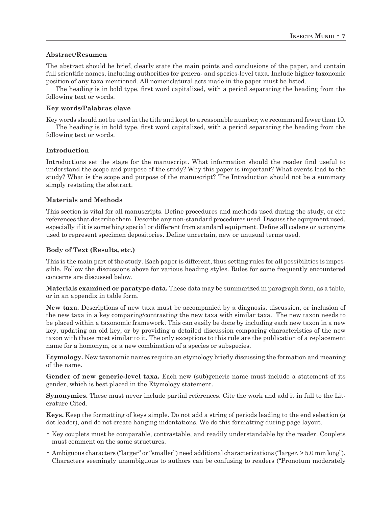# **Abstract/Resumen**

The abstract should be brief, clearly state the main points and conclusions of the paper, and contain full scientific names, including authorities for genera- and species-level taxa. Include higher taxonomic position of any taxa mentioned. All nomenclatural acts made in the paper must be listed.

The heading is in bold type, first word capitalized, with a period separating the heading from the following text or words.

# **Key words/Palabras clave**

Key words should not be used in the title and kept to a reasonable number; we recommend fewer than 10.

The heading is in bold type, first word capitalized, with a period separating the heading from the following text or words.

# **Introduction**

Introductions set the stage for the manuscript. What information should the reader find useful to understand the scope and purpose of the study? Why this paper is important? What events lead to the study? What is the scope and purpose of the manuscript? The Introduction should not be a summary simply restating the abstract.

# **Materials and Methods**

This section is vital for all manuscripts. Define procedures and methods used during the study, or cite references that describe them. Describe any non-standard procedures used. Discuss the equipment used, especially if it is something special or different from standard equipment. Define all codens or acronyms used to represent specimen depositories. Define uncertain, new or unusual terms used.

# **Body of Text (Results, etc.)**

This is the main part of the study. Each paper is different, thus setting rules for all possibilities is impossible. Follow the discussions above for various heading styles. Rules for some frequently encountered concerns are discussed below.

**Materials examined or paratype data.** These data may be summarized in paragraph form, as a table, or in an appendix in table form.

**New taxa.** Descriptions of new taxa must be accompanied by a diagnosis, discussion, or inclusion of the new taxa in a key comparing/contrasting the new taxa with similar taxa. The new taxon needs to be placed within a taxonomic framework. This can easily be done by including each new taxon in a new key, updating an old key, or by providing a detailed discussion comparing characteristics of the new taxon with those most similar to it. The only exceptions to this rule are the publication of a replacement name for a homonym, or a new combination of a species or subspecies.

**Etymology.** New taxonomic names require an etymology briefly discussing the formation and meaning of the name.

Gender of new generic-level taxa. Each new (sub)generic name must include a statement of its gender, which is best placed in the Etymology statement.

**Synonymies.** These must never include partial references. Cite the work and add it in full to the Literature Cited.

**Keys.** Keep the formatting of keys simple. Do not add a string of periods leading to the end selection (a dot leader), and do not create hanging indentations. We do this formatting during page layout.

- Key couplets must be comparable, contrastable, and readily understandable by the reader. Couplets must comment on the same structures.
- Ambiguous characters ("larger" or "smaller") need additional characterizations ("larger, > 5.0 mm long"). Characters seemingly unambiguous to authors can be confusing to readers ("Pronotum moderately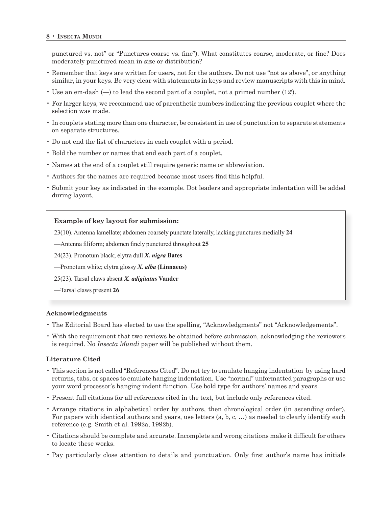punctured vs. not" or "Punctures coarse vs. fine"). What constitutes coarse, moderate, or fine? Does moderately punctured mean in size or distribution?

- Remember that keys are written for users, not for the authors. Do not use "not as above", or anything similar, in your keys. Be very clear with statements in keys and review manuscripts with this in mind.
- Use an em-dash (—) to lead the second part of a couplet, not a primed number (12′).
- For larger keys, we recommend use of parenthetic numbers indicating the previous couplet where the selection was made.
- In couplets stating more than one character, be consistent in use of punctuation to separate statements on separate structures.
- Do not end the list of characters in each couplet with a period.
- Bold the number or names that end each part of a couplet.
- Names at the end of a couplet still require generic name or abbreviation.
- Authors for the names are required because most users find this helpful.
- Submit your key as indicated in the example. Dot leaders and appropriate indentation will be added during layout.

### **Example of key layout for submission:**

23(10). Antenna lamellate; abdomen coarsely punctate laterally, lacking punctures medially **24**

—Antenna filiform; abdomen finely punctured throughout **25**

24(23). Pronotum black; elytra dull *X. nigra* **Bates**

—Pronotum white; elytra glossy *X. alba* **(Linnaeus)**

25(23). Tarsal claws absent *X. adigitatus* **Vander**

—Tarsal claws present **26**

# **Acknowledgments**

- The Editorial Board has elected to use the spelling, "Acknowledgments" not "Acknowledgements".
- With the requirement that two reviews be obtained before submission, acknowledging the reviewers is required. No *Insecta Mundi* paper will be published without them.

# **Literature Cited**

- This section is not called "References Cited". Do not try to emulate hanging indentation by using hard returns, tabs, or spaces to emulate hanging indentation. Use "normal" unformatted paragraphs or use your word processor's hanging indent function. Use bold type for authors' names and years.
- Present full citations for all references cited in the text, but include only references cited.
- Arrange citations in alphabetical order by authors, then chronological order (in ascending order). For papers with identical authors and years, use letters (a, b, c, …) as needed to clearly identify each reference (e.g. Smith et al. 1992a, 1992b).
- Citations should be complete and accurate. Incomplete and wrong citations make it difficult for others to locate these works.
- Pay particularly close attention to details and punctuation. Only first author's name has initials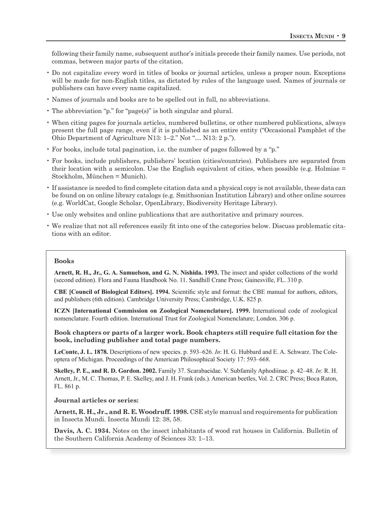following their family name, subsequent author's initials precede their family names. Use periods, not commas, between major parts of the citation.

- Do not capitalize every word in titles of books or journal articles, unless a proper noun. Exceptions will be made for non-English titles, as dictated by rules of the language used. Names of journals or publishers can have every name capitalized.
- Names of journals and books are to be spelled out in full, no abbreviations.
- The abbreviation "p." for "page(s)" is both singular and plural.
- When citing pages for journals articles, numbered bulletins, or other numbered publications, always present the full page range, even if it is published as an entire entity ("Occasional Pamphlet of the Ohio Department of Agriculture N13: 1–2." Not "… N13: 2 p.").
- For books, include total pagination, i.e. the number of pages followed by a "p."
- For books, include publishers, publishers' location (cities/countries). Publishers are separated from their location with a semicolon. Use the English equivalent of cities, when possible (e.g. Holmiae = Stockholm, München = Munich).
- If assistance is needed to find complete citation data and a physical copy is not available, these data can be found on on online library catalogs (e.g. Smithsonian Institution Library) and other online sources (e.g. WorldCat, Google Scholar, OpenLibrary, Biodiversity Heritage Library).
- Use only websites and online publications that are authoritative and primary sources.
- We realize that not all references easily fit into one of the categories below. Discuss problematic citations with an editor.

#### **Books**

**Arnett, R. H., Jr., G. A. Samuelson, and G. N. Nishida. 1993.** The insect and spider collections of the world (second edition). Flora and Fauna Handbook No. 11. Sandhill Crane Press; Gainesville, FL. 310 p.

**CBE [Council of Biological Editors]. 1994.** Scientific style and format: the CBE manual for authors, editors, and publishers (6th edition). Cambridge University Press; Cambridge, U.K. 825 p.

**ICZN [International Commission on Zoological Nomenclature]. 1999.** International code of zoological nomenclature. Fourth edition. International Trust for Zoological Nomenclature; London. 306 p.

**Book chapters or parts of a larger work. Book chapters still require full citation for the book, including publisher and total page numbers.**

**LeConte, J. L. 1878.** Descriptions of new species. p. 593–626. *In*: H. G. Hubbard and E. A. Schwarz. The Coleoptera of Michigan. Proceedings of the American Philosophical Society 17: 593–668.

**Skelley, P. E., and R. D. Gordon. 2002.** Family 37. Scarabaeidae. V. Subfamily Aphodiinae. p. 42–48. *In*: R. H. Arnett, Jr., M. C. Thomas, P. E. Skelley, and J. H. Frank (eds.). American beetles, Vol. 2. CRC Press; Boca Raton, FL. 861 p.

**Journal articles or series:**

**Arnett, R. H., Jr., and R. E. Woodruff. 1998.** CSE style manual and requirements for publication in Insecta Mundi. Insecta Mundi 12: 38, 58.

**Davis, A. C. 1934.** Notes on the insect inhabitants of wood rat houses in California. Bulletin of the Southern California Academy of Sciences 33: 1–13.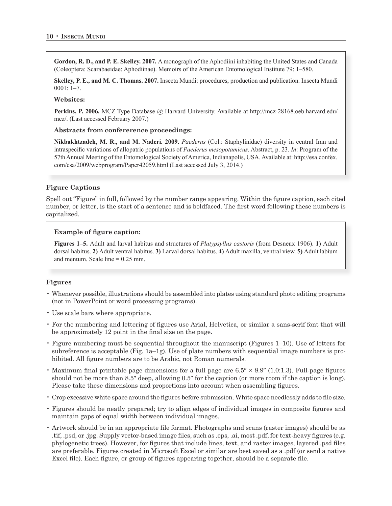**Gordon, R. D., and P. E. Skelley. 2007.** A monograph of the Aphodiini inhabiting the United States and Canada (Coleoptera: Scarabaeidae: Aphodiinae). Memoirs of the American Entomological Institute 79: 1–580.

**Skelley, P. E., and M. C. Thomas. 2007.** Insecta Mundi: procedures, production and publication. Insecta Mundi 0001: 1–7.

# **Websites:**

**Perkins, P. 2006.** MCZ Type Database @ Harvard University. Available at http://mcz-28168.oeb.harvard.edu/ mcz/. (Last accessed February 2007.)

#### **Abstracts from confererence proceedings:**

**Nikbakhtzadeh, M. R., and M. Naderi. 2009.** *Paederus* (Col.: Staphylinidae) diversity in central Iran and intraspecific variations of allopatric populations of *Paederus mesopotamicus*. Abstract, p. 23. *In*: Program of the 57th Annual Meeting of the Entomological Society of America, Indianapolis, USA. Available at: http://esa.confex. com/esa/2009/webprogram/Paper42059.html (Last accessed July 3, 2014.)

# **Figure Captions**

Spell out "Figure" in full, followed by the number range appearing. Within the figure caption, each cited number, or letter, is the start of a sentence and is boldfaced. The first word following these numbers is capitalized.

# **Example of figure caption:**

**Figures 1–5.** Adult and larval habitus and structures of *Platypsyllus castoris* (from Desneux 1906). **1)** Adult dorsal habitus. **2)** Adult ventral habitus. **3)** Larval dorsal habitus. **4)** Adult maxilla, ventral view. **5)** Adult labium and mentum. Scale line  $= 0.25$  mm.

# **Figures**

- Whenever possible, illustrations should be assembled into plates using standard photo editing programs (not in PowerPoint or word processing programs).
- Use scale bars where appropriate.
- For the numbering and lettering of figures use Arial, Helvetica, or similar a sans-serif font that will be approximately 12 point in the final size on the page.
- Figure numbering must be sequential throughout the manuscript (Figures 1–10). Use of letters for subreference is acceptable (Fig. 1a–1g). Use of plate numbers with sequential image numbers is prohibited. All figure numbers are to be Arabic, not Roman numerals.
- Maximum final printable page dimensions for a full page are 6.5″ × 8.9″ (1.0:1.3). Full-page figures should not be more than 8.5″ deep, allowing 0.5″ for the caption (or more room if the caption is long). Please take these dimensions and proportions into account when assembling figures.
- Crop excessive white space around the figures before submission. White space needlessly adds to file size.
- Figures should be neatly prepared; try to align edges of individual images in composite figures and maintain gaps of equal width between individual images.
- Artwork should be in an appropriate file format. Photographs and scans (raster images) should be as .tif, .psd, or .jpg. Supply vector-based image files, such as .eps, .ai, most .pdf, for text-heavy figures (e.g. phylogenetic trees). However, for figures that include lines, text, and raster images, layered .psd files are preferable. Figures created in Microsoft Excel or similar are best saved as a .pdf (or send a native Excel file). Each figure, or group of figures appearing together, should be a separate file.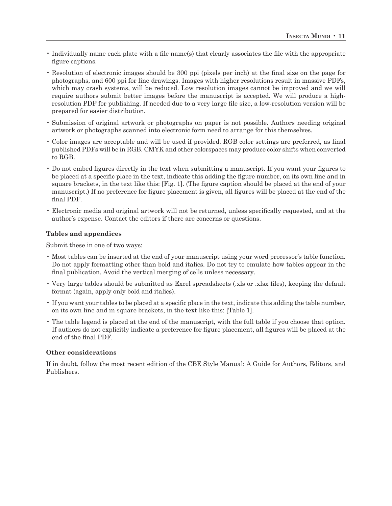- Individually name each plate with a file name(s) that clearly associates the file with the appropriate figure captions.
- Resolution of electronic images should be 300 ppi (pixels per inch) at the final size on the page for photographs, and 600 ppi for line drawings. Images with higher resolutions result in massive PDFs, which may crash systems, will be reduced. Low resolution images cannot be improved and we will require authors submit better images before the manuscript is accepted. We will produce a highresolution PDF for publishing. If needed due to a very large file size, a low-resolution version will be prepared for easier distribution.
- Submission of original artwork or photographs on paper is not possible. Authors needing original artwork or photographs scanned into electronic form need to arrange for this themselves.
- Color images are acceptable and will be used if provided. RGB color settings are preferred, as final published PDFs will be in RGB. CMYK and other colorspaces may produce color shifts when converted to RGB.
- Do not embed figures directly in the text when submitting a manuscript. If you want your figures to be placed at a specific place in the text, indicate this adding the figure number, on its own line and in square brackets, in the text like this: [Fig. 1]. (The figure caption should be placed at the end of your manuscript.) If no preference for figure placement is given, all figures will be placed at the end of the final PDF.
- Electronic media and original artwork will not be returned, unless specifically requested, and at the author's expense. Contact the editors if there are concerns or questions.

# **Tables and appendices**

Submit these in one of two ways:

- Most tables can be inserted at the end of your manuscript using your word processor's table function. Do not apply formatting other than bold and italics. Do not try to emulate how tables appear in the final publication. Avoid the vertical merging of cells unless necessary.
- Very large tables should be submitted as Excel spreadsheets (.xls or .xlsx files), keeping the default format (again, apply only bold and italics).
- If you want your tables to be placed at a specific place in the text, indicate this adding the table number, on its own line and in square brackets, in the text like this: [Table 1].
- The table legend is placed at the end of the manuscript, with the full table if you choose that option. If authors do not explicitly indicate a preference for figure placement, all figures will be placed at the end of the final PDF.

# **Other considerations**

If in doubt, follow the most recent edition of the CBE Style Manual: A Guide for Authors, Editors, and Publishers.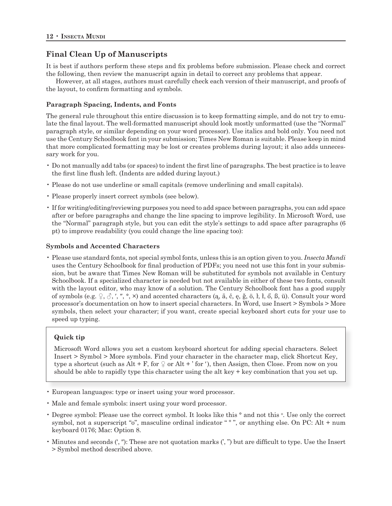# **Final Clean Up of Manuscripts**

It is best if authors perform these steps and fix problems before submission. Please check and correct the following, then review the manuscript again in detail to correct any problems that appear.

However, at all stages, authors must carefully check each version of their manuscript, and proofs of the layout, to confirm formatting and symbols.

# **Paragraph Spacing, Indents, and Fonts**

The general rule throughout this entire discussion is to keep formatting simple, and do not try to emulate the final layout. The well-formatted manuscript should look mostly unformatted (use the "Normal" paragraph style, or similar depending on your word processor). Use italics and bold only. You need not use the Century Schoolbook font in your submission; Times New Roman is suitable. Please keep in mind that more complicated formatting may be lost or creates problems during layout; it also adds unnecessary work for you.

- Do not manually add tabs (or spaces) to indent the first line of paragraphs. The best practice is to leave the first line flush left. (Indents are added during layout.)
- Please do not use underline or small capitals (remove underlining and small capitals).
- Please properly insert correct symbols (see below).
- If for writing/editing/reviewing purposes you need to add space between paragraphs, you can add space after or before paragraphs and change the line spacing to improve legibility. In Microsoft Word, use the "Normal" paragraph style, but you can edit the style's settings to add space after paragraphs (6 pt) to improve readability (you could change the line spacing too):

# **Symbols and Accented Characters**

• Please use standard fonts, not special symbol fonts, unless this is an option given to you. *Insecta Mundi*  uses the Century Schoolbook for final production of PDFs; you need not use this font in your submission, but be aware that Times New Roman will be substituted for symbols not available in Century Schoolbook. If a specialized character is needed but not available in either of these two fonts, consult with the layout editor, who may know of a solution. The Century Schoolbook font has a good supply of symbols (e.g.  $\varphi$ ,  $\varphi$ , ', '',  $\circ$ ,  $\times$ ) and accented characters (a,  $\bar{a}$ , č, e, ğ, ö, l, l, ő, ß, ü). Consult your word processor's documentation on how to insert special characters. In Word, use Insert > Symbols > More symbols, then select your character; if you want, create special keyboard short cuts for your use to speed up typing.

# **Quick tip**

Microsoft Word allows you set a custom keyboard shortcut for adding special characters. Select Insert > Symbol > More symbols. Find your character in the character map, click Shortcut Key, type a shortcut (such as Alt + F, for  $\varphi$  or Alt + ' for '), then Assign, then Close. From now on you should be able to rapidly type this character using the alt key + key combination that you set up.

- European languages: type or insert using your word processor.
- Male and female symbols: insert using your word processor.
- Degree symbol: Please use the correct symbol. It looks like this  $\circ$  and not this  $\circ$ . Use only the correct symbol, not a superscript "o", masculine ordinal indicator "<sup>o</sup>", or anything else. On PC: Alt + num keyboard 0176; Mac: Option 8.
- Minutes and seconds (′, ″): These are not quotation marks (', ") but are difficult to type. Use the Insert > Symbol method described above.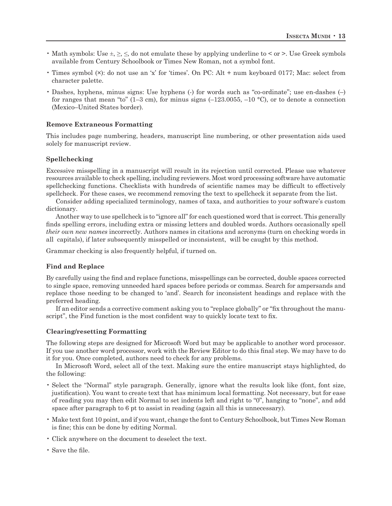- Math symbols: Use  $\pm$ ,  $\geq$ ,  $\leq$ , do not emulate these by applying underline to  $\leq$  or  $\geq$ . Use Greek symbols available from Century Schoolbook or Times New Roman, not a symbol font.
- Times symbol (×): do not use an 'x' for 'times'. On PC: Alt + num keyboard 0177; Mac: select from character palette.
- Dashes, hyphens, minus signs: Use hyphens (-) for words such as "co-ordinate"; use en-dashes (-) for ranges that mean "to" (1–3 cm), for minus signs (–123.0055, –10 °C), or to denote a connection (Mexico–United States border).

# **Remove Extraneous Formatting**

This includes page numbering, headers, manuscript line numbering, or other presentation aids used solely for manuscript review.

#### **Spellchecking**

Excessive misspelling in a manuscript will result in its rejection until corrected. Please use whatever resources available to check spelling, including reviewers. Most word processing software have automatic spellchecking functions. Checklists with hundreds of scientific names may be difficult to effectively spellcheck. For these cases, we recommend removing the text to spellcheck it separate from the list.

Consider adding specialized terminology, names of taxa, and authorities to your software's custom dictionary.

Another way to use spellcheck is to "ignore all" for each questioned word that is correct. This generally finds spelling errors, including extra or missing letters and doubled words. Authors occasionally spell *their own new names* incorrectly. Authors names in citations and acronyms (turn on checking words in all capitals), if later subsequently misspelled or inconsistent, will be caught by this method.

Grammar checking is also frequently helpful, if turned on.

#### **Find and Replace**

By carefully using the find and replace functions, misspellings can be corrected, double spaces corrected to single space, removing unneeded hard spaces before periods or commas. Search for ampersands and replace those needing to be changed to 'and'. Search for inconsistent headings and replace with the preferred heading.

If an editor sends a corrective comment asking you to "replace globally" or "fix throughout the manuscript", the Find function is the most confident way to quickly locate text to fix.

#### **Clearing/resetting Formatting**

The following steps are designed for Microsoft Word but may be applicable to another word processor. If you use another word processor, work with the Review Editor to do this final step. We may have to do it for you. Once completed, authors need to check for any problems.

In Microsoft Word, select all of the text. Making sure the entire manuscript stays highlighted, do the following:

- Select the "Normal" style paragraph. Generally, ignore what the results look like (font, font size, justification). You want to create text that has minimum local formatting. Not necessary, but for ease of reading you may then edit Normal to set indents left and right to "0", hanging to "none", and add space after paragraph to 6 pt to assist in reading (again all this is unnecessary).
- Make text font 10 point, and if you want, change the font to Century Schoolbook, but Times New Roman is fine; this can be done by editing Normal.
- Click anywhere on the document to deselect the text.
- Save the file.